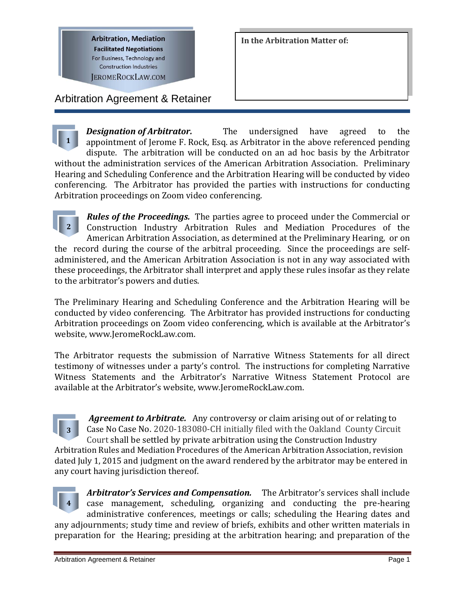**Arbitration, Mediation Facilitated Negotiations** For Business, Technology and **Construction Industries** 

**JEROMEROCKLAW.COM** 

Arbitration Agreement & Retainer

**In the Arbitration Matter of:**

**1** *Designation of Arbitrator.* The undersigned have agreed to the appointment of Jerome F. Rock, Esq. as Arbitrator in the above referenced pending dispute. The arbitration will be conducted on an ad hoc basis by the Arbitrator without the administration services of the American Arbitration Association. Preliminary Hearing and Scheduling Conference and the Arbitration Hearing will be conducted by video conferencing. The Arbitrator has provided the parties with instructions for conducting Arbitration proceedings on Zoom video conferencing.

**2** *Rules of the Proceedings.* The parties agree to proceed under the Commercial or Construction Industry Arbitration Rules and Mediation Procedures of the American Arbitration Association, as determined at the Preliminary Hearing, or on the record during the course of the arbitral proceeding. Since the proceedings are selfadministered, and the American Arbitration Association is not in any way associated with these proceedings, the Arbitrator shall interpret and apply these rules insofar as they relate to the arbitrator's powers and duties.

The Preliminary Hearing and Scheduling Conference and the Arbitration Hearing will be conducted by video conferencing. The Arbitrator has provided instructions for conducting Arbitration proceedings on Zoom video conferencing, which is available at the Arbitrator's website, www.JeromeRockLaw.com.

The Arbitrator requests the submission of Narrative Witness Statements for all direct testimony of witnesses under a party's control. The instructions for completing Narrative Witness Statements and the Arbitrator's Narrative Witness Statement Protocol are available at the Arbitrator's website, www.JeromeRockLaw.com.

**3** *Agreement to Arbitrate.* Any controversy or claim arising out of or relating to Case No Case No. 2020-183080-CH initially filed with the Oakland County Circuit Court shall be settled by private arbitration using the Construction Industry Arbitration Rules and Mediation Procedures of the American Arbitration Association, revision dated July 1, 2015 and judgment on the award rendered by the arbitrator may be entered in any court having jurisdiction thereof.



*Arbitrator's Services and Compensation.* The Arbitrator's services shall include case management, scheduling, organizing and conducting the pre-hearing administrative conferences, meetings or calls; scheduling the Hearing dates and any adjournments; study time and review of briefs, exhibits and other written materials in preparation for the Hearing; presiding at the arbitration hearing; and preparation of the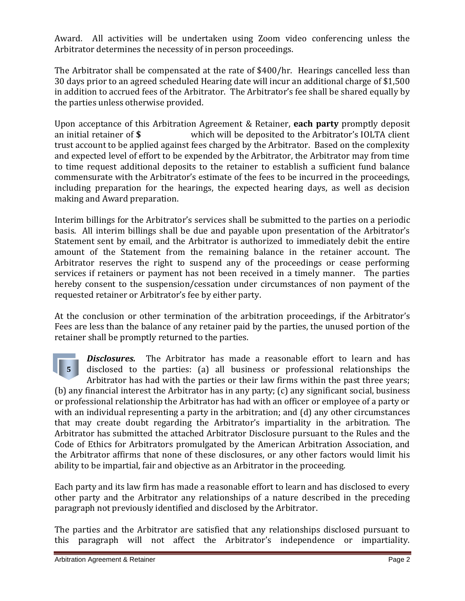Award. All activities will be undertaken using Zoom video conferencing unless the Arbitrator determines the necessity of in person proceedings.

The Arbitrator shall be compensated at the rate of \$400/hr. Hearings cancelled less than 30 days prior to an agreed scheduled Hearing date will incur an additional charge of \$1,500 in addition to accrued fees of the Arbitrator. The Arbitrator's fee shall be shared equally by the parties unless otherwise provided.

Upon acceptance of this Arbitration Agreement & Retainer, **each party** promptly deposit an initial retainer of **\$** which will be deposited to the Arbitrator's IOLTA client trust account to be applied against fees charged by the Arbitrator. Based on the complexity and expected level of effort to be expended by the Arbitrator, the Arbitrator may from time to time request additional deposits to the retainer to establish a sufficient fund balance commensurate with the Arbitrator's estimate of the fees to be incurred in the proceedings, including preparation for the hearings, the expected hearing days, as well as decision making and Award preparation.

Interim billings for the Arbitrator's services shall be submitted to the parties on a periodic basis. All interim billings shall be due and payable upon presentation of the Arbitrator's Statement sent by email, and the Arbitrator is authorized to immediately debit the entire amount of the Statement from the remaining balance in the retainer account. The Arbitrator reserves the right to suspend any of the proceedings or cease performing services if retainers or payment has not been received in a timely manner. The parties hereby consent to the suspension/cessation under circumstances of non payment of the requested retainer or Arbitrator's fee by either party.

At the conclusion or other termination of the arbitration proceedings, if the Arbitrator's Fees are less than the balance of any retainer paid by the parties, the unused portion of the retainer shall be promptly returned to the parties.

**5** *Disclosures.*The Arbitrator has made a reasonable effort to learn and has disclosed to the parties: (a) all business or professional relationships the Arbitrator has had with the parties or their law firms within the past three years; (b) any financial interest the Arbitrator has in any party; (c) any significant social, business or professional relationship the Arbitrator has had with an officer or employee of a party or with an individual representing a party in the arbitration; and (d) any other circumstances that may create doubt regarding the Arbitrator's impartiality in the arbitration. The Arbitrator has submitted the attached Arbitrator Disclosure pursuant to the Rules and the Code of Ethics for Arbitrators promulgated by the American Arbitration Association, and the Arbitrator affirms that none of these disclosures, or any other factors would limit his ability to be impartial, fair and objective as an Arbitrator in the proceeding.

Each party and its law firm has made a reasonable effort to learn and has disclosed to every other party and the Arbitrator any relationships of a nature described in the preceding paragraph not previously identified and disclosed by the Arbitrator.

The parties and the Arbitrator are satisfied that any relationships disclosed pursuant to this paragraph will not affect the Arbitrator's independence or impartiality.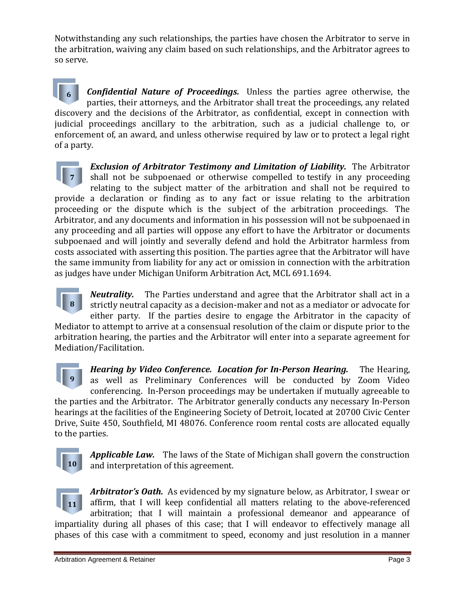Notwithstanding any such relationships, the parties have chosen the Arbitrator to serve in the arbitration, waiving any claim based on such relationships, and the Arbitrator agrees to so serve.

**6** *Confidential Nature of Proceedings.* Unless the parties agree otherwise, the parties, their attorneys, and the Arbitrator shall treat the proceedings, any related discovery and the decisions of the Arbitrator, as confidential, except in connection with judicial proceedings ancillary to the arbitration, such as a judicial challenge to, or enforcement of, an award, and unless otherwise required by law or to protect a legal right of a party.

**7** *Exclusion of Arbitrator Testimony and Limitation of Liability.* The Arbitrator shall not be subpoenaed or otherwise compelled to testify in any proceeding relating to the subject matter of the arbitration and shall not be required to provide a declaration or finding as to any fact or issue relating to the arbitration proceeding or the dispute which is the subject of the arbitration proceedings. The Arbitrator, and any documents and information in his possession will not be subpoenaed in any proceeding and all parties will oppose any effort to have the Arbitrator or documents subpoenaed and will jointly and severally defend and hold the Arbitrator harmless from costs associated with asserting this position. The parties agree that the Arbitrator will have the same immunity from liability for any act or omission in connection with the arbitration as judges have under Michigan Uniform Arbitration Act, MCL 691.1694.

**8** *Neutrality.* The Parties understand and agree that the Arbitrator shall act in a strictly neutral capacity as a decision-maker and not as a mediator or advocate for either party. If the parties desire to engage the Arbitrator in the capacity of Mediator to attempt to arrive at a consensual resolution of the claim or dispute prior to the arbitration hearing, the parties and the Arbitrator will enter into a separate agreement for Mediation/Facilitation.

**9** *Hearing by Video Conference. Location for In-Person Hearing.* The Hearing, as well as Preliminary Conferences will be conducted by Zoom Video conferencing. In-Person proceedings may be undertaken if mutually agreeable to the parties and the Arbitrator. The Arbitrator generally conducts any necessary In-Person hearings at the facilities of the Engineering Society of Detroit, located at 20700 Civic Center Drive, Suite 450, Southfield, MI 48076. Conference room rental costs are allocated equally to the parties.



*Applicable Law.*The laws of the State of Michigan shall govern the construction and interpretation of this agreement.



*Arbitrator's Oath.* As evidenced by my signature below, as Arbitrator, I swear or affirm, that I will keep confidential all matters relating to the above-referenced arbitration; that I will maintain a professional demeanor and appearance of impartiality during all phases of this case; that I will endeavor to effectively manage all phases of this case with a commitment to speed, economy and just resolution in a manner

Arbitration Agreement & Retainer **Page 3** Arbitration Agreement & Retainer **Page 3**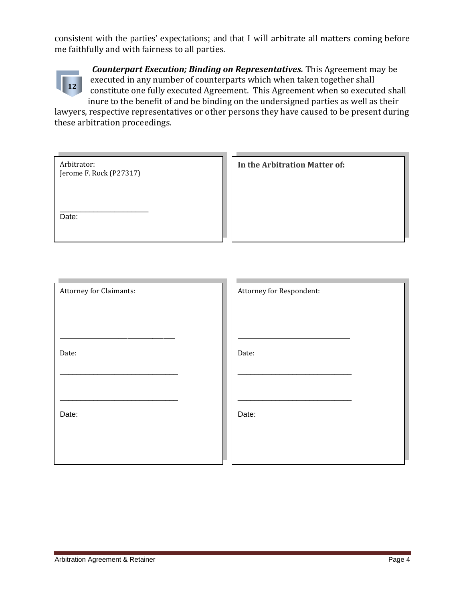consistent with the parties' expectations; and that I will arbitrate all matters coming before me faithfully and with fairness to all parties.



*Counterpart Execution; Binding on Representatives.* This Agreement may be executed in any number of counterparts which when taken together shall constitute one fully executed Agreement. This Agreement when so executed shall inure to the benefit of and be binding on the undersigned parties as well as their

lawyers, respective representatives or other persons they have caused to be present during these arbitration proceedings.

| Arbitrator:<br>Jerome F. Rock (P27317) | In the Arbitration Matter of: |
|----------------------------------------|-------------------------------|
| Date:                                  |                               |

| <b>Attorney for Claimants:</b> | Attorney for Respondent: |
|--------------------------------|--------------------------|
|                                |                          |
|                                |                          |
| Date:                          | Date:                    |
|                                |                          |
|                                |                          |
| Date:                          | Date:                    |
|                                |                          |
|                                |                          |